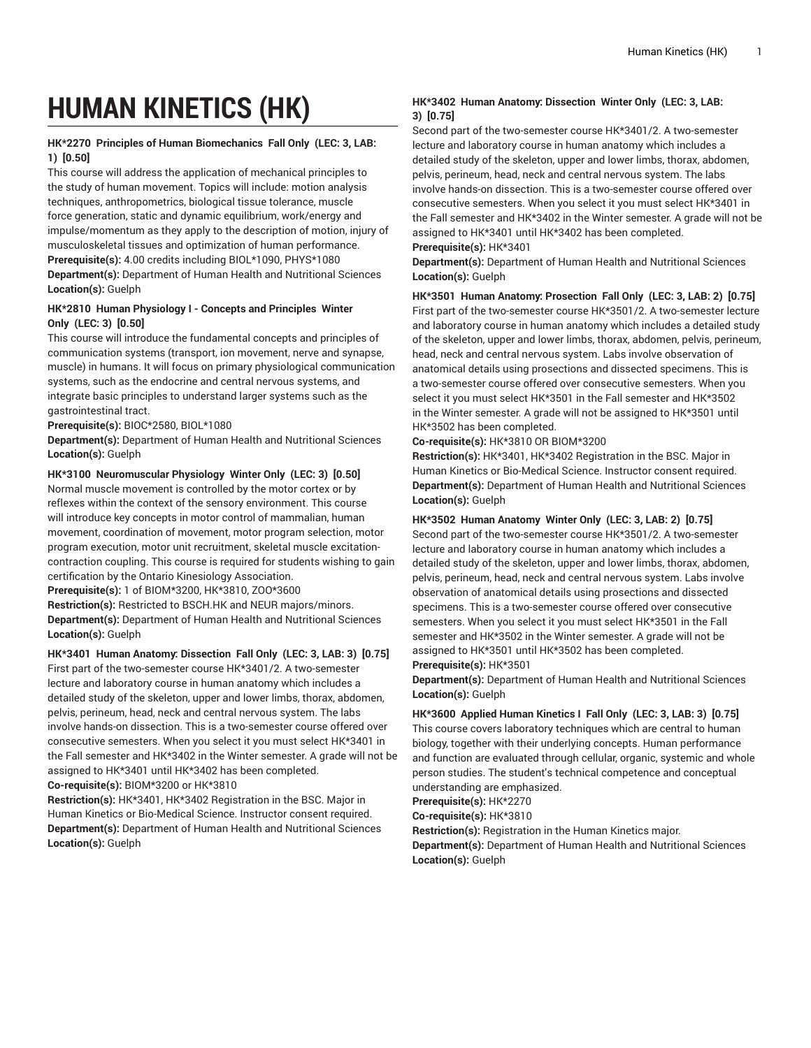# **HUMAN KINETICS (HK)**

## **HK\*2270 Principles of Human Biomechanics Fall Only (LEC: 3, LAB: 1) [0.50]**

This course will address the application of mechanical principles to the study of human movement. Topics will include: motion analysis techniques, anthropometrics, biological tissue tolerance, muscle force generation, static and dynamic equilibrium, work/energy and impulse/momentum as they apply to the description of motion, injury of musculoskeletal tissues and optimization of human performance. **Prerequisite(s):** 4.00 credits including BIOL\*1090, PHYS\*1080 **Department(s):** Department of Human Health and Nutritional Sciences **Location(s):** Guelph

## **HK\*2810 Human Physiology I - Concepts and Principles Winter Only (LEC: 3) [0.50]**

This course will introduce the fundamental concepts and principles of communication systems (transport, ion movement, nerve and synapse, muscle) in humans. It will focus on primary physiological communication systems, such as the endocrine and central nervous systems, and integrate basic principles to understand larger systems such as the gastrointestinal tract.

**Prerequisite(s):** BIOC\*2580, BIOL\*1080

**Department(s):** Department of Human Health and Nutritional Sciences **Location(s):** Guelph

# **HK\*3100 Neuromuscular Physiology Winter Only (LEC: 3) [0.50]**

Normal muscle movement is controlled by the motor cortex or by reflexes within the context of the sensory environment. This course will introduce key concepts in motor control of mammalian, human movement, coordination of movement, motor program selection, motor program execution, motor unit recruitment, skeletal muscle excitationcontraction coupling. This course is required for students wishing to gain certification by the Ontario Kinesiology Association.

**Prerequisite(s):** 1 of BIOM\*3200, HK\*3810, ZOO\*3600

**Restriction(s):** Restricted to BSCH.HK and NEUR majors/minors. **Department(s):** Department of Human Health and Nutritional Sciences **Location(s):** Guelph

## **HK\*3401 Human Anatomy: Dissection Fall Only (LEC: 3, LAB: 3) [0.75]**

First part of the two-semester course HK\*3401/2. A two-semester lecture and laboratory course in human anatomy which includes a detailed study of the skeleton, upper and lower limbs, thorax, abdomen, pelvis, perineum, head, neck and central nervous system. The labs involve hands-on dissection. This is a two-semester course offered over consecutive semesters. When you select it you must select HK\*3401 in the Fall semester and HK\*3402 in the Winter semester. A grade will not be assigned to HK\*3401 until HK\*3402 has been completed. **Co-requisite(s):** BIOM\*3200 or HK\*3810

**Restriction(s):** HK\*3401, HK\*3402 Registration in the BSC. Major in Human Kinetics or Bio-Medical Science. Instructor consent required. **Department(s):** Department of Human Health and Nutritional Sciences **Location(s):** Guelph

# **HK\*3402 Human Anatomy: Dissection Winter Only (LEC: 3, LAB: 3) [0.75]**

Second part of the two-semester course HK\*3401/2. A two-semester lecture and laboratory course in human anatomy which includes a detailed study of the skeleton, upper and lower limbs, thorax, abdomen, pelvis, perineum, head, neck and central nervous system. The labs involve hands-on dissection. This is a two-semester course offered over consecutive semesters. When you select it you must select HK\*3401 in the Fall semester and HK\*3402 in the Winter semester. A grade will not be assigned to HK\*3401 until HK\*3402 has been completed.

## **Prerequisite(s):** HK\*3401

**Department(s):** Department of Human Health and Nutritional Sciences **Location(s):** Guelph

## **HK\*3501 Human Anatomy: Prosection Fall Only (LEC: 3, LAB: 2) [0.75]**

First part of the two-semester course HK\*3501/2. A two-semester lecture and laboratory course in human anatomy which includes a detailed study of the skeleton, upper and lower limbs, thorax, abdomen, pelvis, perineum, head, neck and central nervous system. Labs involve observation of anatomical details using prosections and dissected specimens. This is a two-semester course offered over consecutive semesters. When you select it you must select HK\*3501 in the Fall semester and HK\*3502 in the Winter semester. A grade will not be assigned to HK\*3501 until HK\*3502 has been completed.

## **Co-requisite(s):** HK\*3810 OR BIOM\*3200

**Restriction(s):** HK\*3401, HK\*3402 Registration in the BSC. Major in Human Kinetics or Bio-Medical Science. Instructor consent required. **Department(s):** Department of Human Health and Nutritional Sciences **Location(s):** Guelph

# **HK\*3502 Human Anatomy Winter Only (LEC: 3, LAB: 2) [0.75]**

Second part of the two-semester course HK\*3501/2. A two-semester lecture and laboratory course in human anatomy which includes a detailed study of the skeleton, upper and lower limbs, thorax, abdomen, pelvis, perineum, head, neck and central nervous system. Labs involve observation of anatomical details using prosections and dissected specimens. This is a two-semester course offered over consecutive semesters. When you select it you must select HK\*3501 in the Fall semester and HK\*3502 in the Winter semester. A grade will not be assigned to HK\*3501 until HK\*3502 has been completed. **Prerequisite(s):** HK\*3501

**Department(s):** Department of Human Health and Nutritional Sciences **Location(s):** Guelph

### **HK\*3600 Applied Human Kinetics I Fall Only (LEC: 3, LAB: 3) [0.75]**

This course covers laboratory techniques which are central to human biology, together with their underlying concepts. Human performance and function are evaluated through cellular, organic, systemic and whole person studies. The student's technical competence and conceptual understanding are emphasized.

**Prerequisite(s):** HK\*2270

**Co-requisite(s):** HK\*3810

**Restriction(s):** Registration in the Human Kinetics major.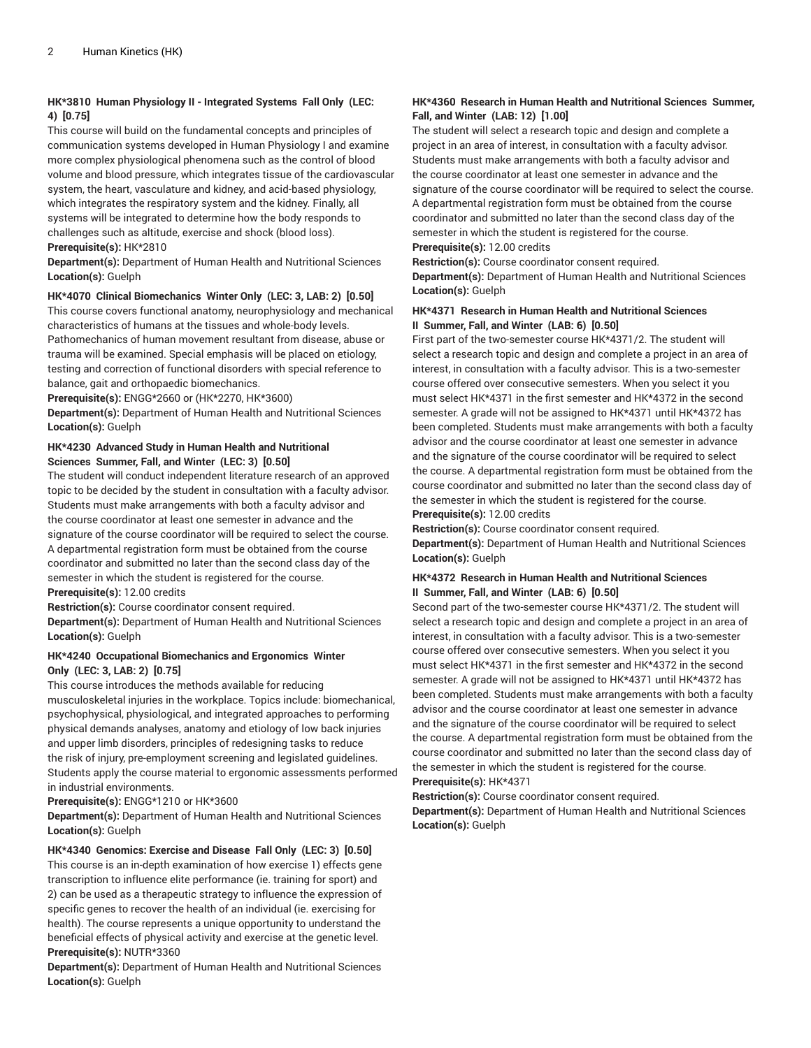# **HK\*3810 Human Physiology II - Integrated Systems Fall Only (LEC: 4) [0.75]**

This course will build on the fundamental concepts and principles of communication systems developed in Human Physiology I and examine more complex physiological phenomena such as the control of blood volume and blood pressure, which integrates tissue of the cardiovascular system, the heart, vasculature and kidney, and acid-based physiology, which integrates the respiratory system and the kidney. Finally, all systems will be integrated to determine how the body responds to challenges such as altitude, exercise and shock (blood loss). **Prerequisite(s):** HK\*2810

**Department(s):** Department of Human Health and Nutritional Sciences **Location(s):** Guelph

### **HK\*4070 Clinical Biomechanics Winter Only (LEC: 3, LAB: 2) [0.50]**

This course covers functional anatomy, neurophysiology and mechanical characteristics of humans at the tissues and whole-body levels. Pathomechanics of human movement resultant from disease, abuse or trauma will be examined. Special emphasis will be placed on etiology, testing and correction of functional disorders with special reference to balance, gait and orthopaedic biomechanics.

**Prerequisite(s):** ENGG\*2660 or (HK\*2270, HK\*3600)

**Department(s):** Department of Human Health and Nutritional Sciences **Location(s):** Guelph

## **HK\*4230 Advanced Study in Human Health and Nutritional Sciences Summer, Fall, and Winter (LEC: 3) [0.50]**

The student will conduct independent literature research of an approved topic to be decided by the student in consultation with a faculty advisor. Students must make arrangements with both a faculty advisor and the course coordinator at least one semester in advance and the signature of the course coordinator will be required to select the course. A departmental registration form must be obtained from the course coordinator and submitted no later than the second class day of the semester in which the student is registered for the course. **Prerequisite(s):** 12.00 credits

**Restriction(s):** Course coordinator consent required.

**Department(s):** Department of Human Health and Nutritional Sciences **Location(s):** Guelph

### **HK\*4240 Occupational Biomechanics and Ergonomics Winter Only (LEC: 3, LAB: 2) [0.75]**

This course introduces the methods available for reducing musculoskeletal injuries in the workplace. Topics include: biomechanical, psychophysical, physiological, and integrated approaches to performing physical demands analyses, anatomy and etiology of low back injuries and upper limb disorders, principles of redesigning tasks to reduce the risk of injury, pre-employment screening and legislated guidelines. Students apply the course material to ergonomic assessments performed in industrial environments.

**Prerequisite(s):** ENGG\*1210 or HK\*3600

**Department(s):** Department of Human Health and Nutritional Sciences **Location(s):** Guelph

**HK\*4340 Genomics: Exercise and Disease Fall Only (LEC: 3) [0.50]**

This course is an in-depth examination of how exercise 1) effects gene transcription to influence elite performance (ie. training for sport) and 2) can be used as a therapeutic strategy to influence the expression of specific genes to recover the health of an individual (ie. exercising for health). The course represents a unique opportunity to understand the beneficial effects of physical activity and exercise at the genetic level. **Prerequisite(s):** NUTR\*3360

**Department(s):** Department of Human Health and Nutritional Sciences **Location(s):** Guelph

# **HK\*4360 Research in Human Health and Nutritional Sciences Summer, Fall, and Winter (LAB: 12) [1.00]**

The student will select a research topic and design and complete a project in an area of interest, in consultation with a faculty advisor. Students must make arrangements with both a faculty advisor and the course coordinator at least one semester in advance and the signature of the course coordinator will be required to select the course. A departmental registration form must be obtained from the course coordinator and submitted no later than the second class day of the semester in which the student is registered for the course.

## **Prerequisite(s):** 12.00 credits

**Restriction(s):** Course coordinator consent required.

**Department(s):** Department of Human Health and Nutritional Sciences **Location(s):** Guelph

## **HK\*4371 Research in Human Health and Nutritional Sciences II Summer, Fall, and Winter (LAB: 6) [0.50]**

First part of the two-semester course HK\*4371/2. The student will select a research topic and design and complete a project in an area of interest, in consultation with a faculty advisor. This is a two-semester course offered over consecutive semesters. When you select it you must select HK\*4371 in the first semester and HK\*4372 in the second semester. A grade will not be assigned to HK\*4371 until HK\*4372 has been completed. Students must make arrangements with both a faculty advisor and the course coordinator at least one semester in advance and the signature of the course coordinator will be required to select the course. A departmental registration form must be obtained from the course coordinator and submitted no later than the second class day of the semester in which the student is registered for the course. **Prerequisite(s):** 12.00 credits

**Restriction(s):** Course coordinator consent required.

**Department(s):** Department of Human Health and Nutritional Sciences **Location(s):** Guelph

## **HK\*4372 Research in Human Health and Nutritional Sciences II Summer, Fall, and Winter (LAB: 6) [0.50]**

Second part of the two-semester course HK\*4371/2. The student will select a research topic and design and complete a project in an area of interest, in consultation with a faculty advisor. This is a two-semester course offered over consecutive semesters. When you select it you must select HK\*4371 in the first semester and HK\*4372 in the second semester. A grade will not be assigned to HK\*4371 until HK\*4372 has been completed. Students must make arrangements with both a faculty advisor and the course coordinator at least one semester in advance and the signature of the course coordinator will be required to select the course. A departmental registration form must be obtained from the course coordinator and submitted no later than the second class day of the semester in which the student is registered for the course. **Prerequisite(s):** HK\*4371

**Restriction(s):** Course coordinator consent required.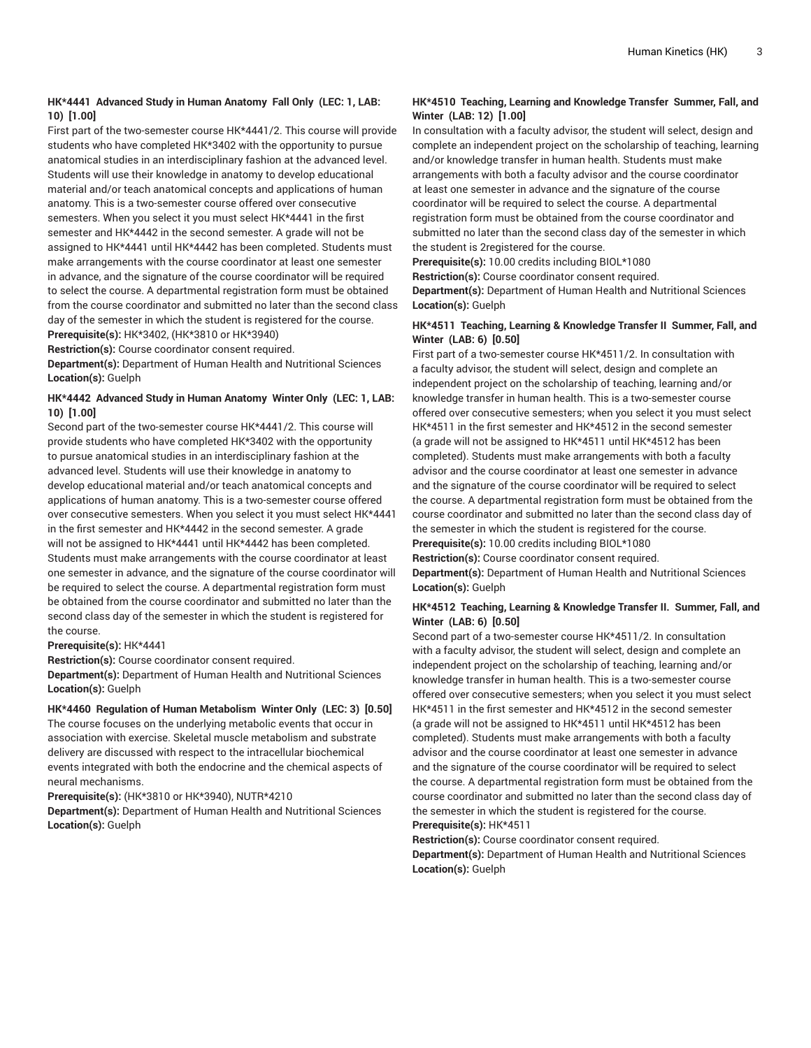## **HK\*4441 Advanced Study in Human Anatomy Fall Only (LEC: 1, LAB: 10) [1.00]**

First part of the two-semester course HK\*4441/2. This course will provide students who have completed HK\*3402 with the opportunity to pursue anatomical studies in an interdisciplinary fashion at the advanced level. Students will use their knowledge in anatomy to develop educational material and/or teach anatomical concepts and applications of human anatomy. This is a two-semester course offered over consecutive semesters. When you select it you must select HK\*4441 in the first semester and HK\*4442 in the second semester. A grade will not be assigned to HK\*4441 until HK\*4442 has been completed. Students must make arrangements with the course coordinator at least one semester in advance, and the signature of the course coordinator will be required to select the course. A departmental registration form must be obtained from the course coordinator and submitted no later than the second class day of the semester in which the student is registered for the course. **Prerequisite(s):** HK\*3402, (HK\*3810 or HK\*3940)

**Restriction(s):** Course coordinator consent required.

**Department(s):** Department of Human Health and Nutritional Sciences **Location(s):** Guelph

## **HK\*4442 Advanced Study in Human Anatomy Winter Only (LEC: 1, LAB: 10) [1.00]**

Second part of the two-semester course HK\*4441/2. This course will provide students who have completed HK\*3402 with the opportunity to pursue anatomical studies in an interdisciplinary fashion at the advanced level. Students will use their knowledge in anatomy to develop educational material and/or teach anatomical concepts and applications of human anatomy. This is a two-semester course offered over consecutive semesters. When you select it you must select HK\*4441 in the first semester and HK\*4442 in the second semester. A grade will not be assigned to HK\*4441 until HK\*4442 has been completed. Students must make arrangements with the course coordinator at least one semester in advance, and the signature of the course coordinator will be required to select the course. A departmental registration form must be obtained from the course coordinator and submitted no later than the second class day of the semester in which the student is registered for the course.

#### **Prerequisite(s):** HK\*4441

**Restriction(s):** Course coordinator consent required.

**Department(s):** Department of Human Health and Nutritional Sciences **Location(s):** Guelph

#### **HK\*4460 Regulation of Human Metabolism Winter Only (LEC: 3) [0.50]**

The course focuses on the underlying metabolic events that occur in association with exercise. Skeletal muscle metabolism and substrate delivery are discussed with respect to the intracellular biochemical events integrated with both the endocrine and the chemical aspects of neural mechanisms.

**Prerequisite(s):** (HK\*3810 or HK\*3940), NUTR\*4210

**Department(s):** Department of Human Health and Nutritional Sciences **Location(s):** Guelph

## **HK\*4510 Teaching, Learning and Knowledge Transfer Summer, Fall, and Winter (LAB: 12) [1.00]**

In consultation with a faculty advisor, the student will select, design and complete an independent project on the scholarship of teaching, learning and/or knowledge transfer in human health. Students must make arrangements with both a faculty advisor and the course coordinator at least one semester in advance and the signature of the course coordinator will be required to select the course. A departmental registration form must be obtained from the course coordinator and submitted no later than the second class day of the semester in which the student is 2registered for the course.

**Prerequisite(s):** 10.00 credits including BIOL\*1080 **Restriction(s):** Course coordinator consent required.

**Department(s):** Department of Human Health and Nutritional Sciences **Location(s):** Guelph

## **HK\*4511 Teaching, Learning & Knowledge Transfer II Summer, Fall, and Winter (LAB: 6) [0.50]**

First part of a two-semester course HK\*4511/2. In consultation with a faculty advisor, the student will select, design and complete an independent project on the scholarship of teaching, learning and/or knowledge transfer in human health. This is a two-semester course offered over consecutive semesters; when you select it you must select HK\*4511 in the first semester and HK\*4512 in the second semester (a grade will not be assigned to HK\*4511 until HK\*4512 has been completed). Students must make arrangements with both a faculty advisor and the course coordinator at least one semester in advance and the signature of the course coordinator will be required to select the course. A departmental registration form must be obtained from the course coordinator and submitted no later than the second class day of the semester in which the student is registered for the course. **Prerequisite(s):** 10.00 credits including BIOL\*1080

**Restriction(s):** Course coordinator consent required.

**Department(s):** Department of Human Health and Nutritional Sciences **Location(s):** Guelph

#### **HK\*4512 Teaching, Learning & Knowledge Transfer II. Summer, Fall, and Winter (LAB: 6) [0.50]**

Second part of a two-semester course HK\*4511/2. In consultation with a faculty advisor, the student will select, design and complete an independent project on the scholarship of teaching, learning and/or knowledge transfer in human health. This is a two-semester course offered over consecutive semesters; when you select it you must select HK\*4511 in the first semester and HK\*4512 in the second semester (a grade will not be assigned to HK\*4511 until HK\*4512 has been completed). Students must make arrangements with both a faculty advisor and the course coordinator at least one semester in advance and the signature of the course coordinator will be required to select the course. A departmental registration form must be obtained from the course coordinator and submitted no later than the second class day of the semester in which the student is registered for the course.

**Prerequisite(s):** HK\*4511

**Restriction(s):** Course coordinator consent required.